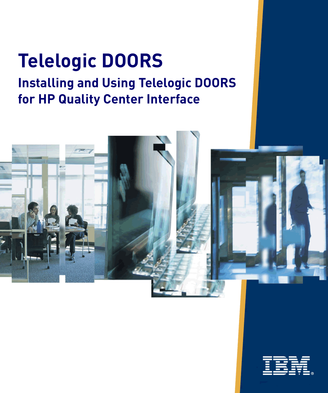## **Telelogic DOORS Installing and Using Telelogic DOORS for HP Quality Center Interface**



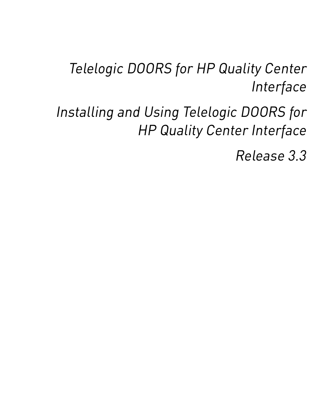*Telelogic DOORS for HP Quality Center Interface*

*Installing and Using Telelogic DOORS for HP Quality Center Interface*

*Release 3.3*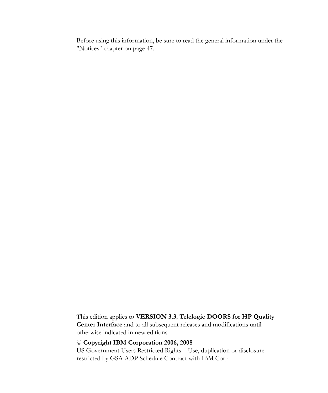Before using this information, be sure to read the general information under the ["Notices" chapter on page 47.](#page-54-0)

This edition applies to **VERSION 3.3**, **Telelogic DOORS for HP Quality Center Interface** and to all subsequent releases and modifications until otherwise indicated in new editions.

#### © **Copyright IBM Corporation 2006, 2008**

US Government Users Restricted Rights—Use, duplication or disclosure restricted by GSA ADP Schedule Contract with IBM Corp.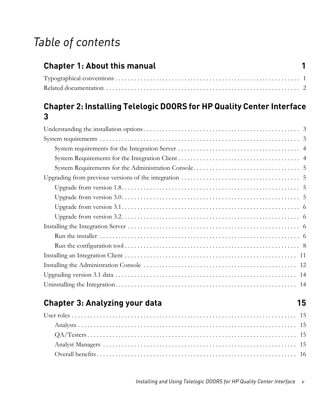## *Table of contents*

| <b>Chapter 1: About this manual</b><br>$\blacksquare$ |  |
|-------------------------------------------------------|--|
|                                                       |  |
|                                                       |  |

## **[Chapter 2: Installing Telelogic DOORS for HP Quality Center Interface](#page-10-0) 3**

## **Chapter 3: Analyzing your data** 15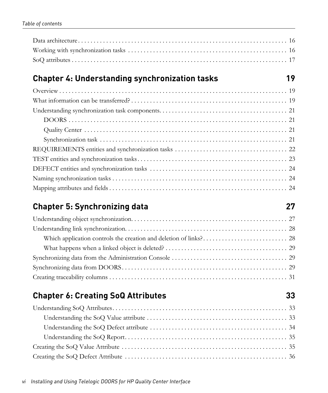## **[Chapter 4: Understanding synchronization tasks 19](#page-26-0)**

## **[Chapter 5: Synchronizing data 27](#page-34-0)**

## **[Chapter 6: Creating SoQ Attributes 33](#page-40-0)**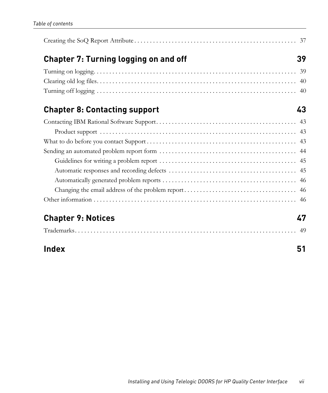| <b>Chapter 7: Turning logging on and off</b><br>39 |  |
|----------------------------------------------------|--|
|                                                    |  |
|                                                    |  |
|                                                    |  |
| 43<br><b>Chapter 8: Contacting support</b>         |  |
|                                                    |  |
|                                                    |  |
|                                                    |  |
|                                                    |  |
|                                                    |  |
|                                                    |  |
|                                                    |  |
|                                                    |  |
|                                                    |  |
| <b>Chapter 9: Notices</b><br>47                    |  |
|                                                    |  |
| <b>Index</b><br>51                                 |  |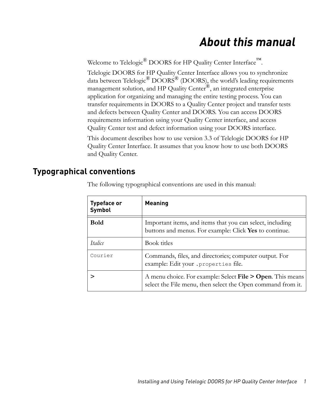## *About this manual*

<span id="page-8-0"></span>Welcome to Telelogic<sup>®</sup> DOORS for HP Quality Center Interface™.

Telelogic DOORS for HP Quality Center Interface allows you to synchronize data between Telelogic<sup>®</sup> DOORS<sup>®</sup> (DOORS), the world's leading requirements management solution, and HP Quality Center®, an integrated enterprise application for organizing and managing the entire testing process. You can transfer requirements in DOORS to a Quality Center project and transfer tests and defects between Quality Center and DOORS. You can access DOORS requirements information using your Quality Center interface, and access Quality Center test and defect information using your DOORS interface.

This document describes how to use version 3.3 of Telelogic DOORS for HP Quality Center Interface. It assumes that you know how to use both DOORS and Quality Center.

## <span id="page-8-1"></span>**Typographical conventions**

| <b>Typeface or</b><br>Symbol | <b>Meaning</b>                                                                                                                       |
|------------------------------|--------------------------------------------------------------------------------------------------------------------------------------|
| <b>Bold</b>                  | Important items, and items that you can select, including<br>buttons and menus. For example: Click Yes to continue.                  |
| <i>Italics</i>               | Book titles                                                                                                                          |
| Courier                      | Commands, files, and directories; computer output. For<br>example: Edit your . properties file.                                      |
|                              | A menu choice. For example: Select <b>File &gt; Open</b> . This means<br>select the File menu, then select the Open command from it. |

The following typographical conventions are used in this manual: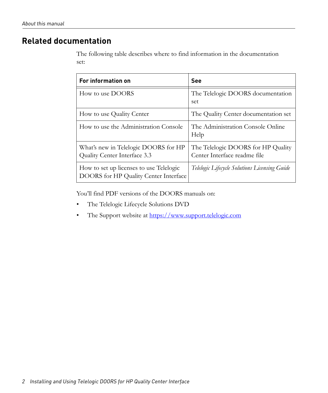## <span id="page-9-0"></span>**Related documentation**

The following table describes where to find information in the documentation set:

| For information on                                                               | See                                                                |
|----------------------------------------------------------------------------------|--------------------------------------------------------------------|
| How to use DOORS                                                                 | The Telelogic DOORS documentation<br>set                           |
| How to use Quality Center                                                        | The Quality Center documentation set                               |
| How to use the Administration Console                                            | The Administration Console Online<br>Help                          |
| What's new in Telelogic DOORS for HP<br>Quality Center Interface 3.3             | The Telelogic DOORS for HP Quality<br>Center Interface readme file |
| How to set up licenses to use Telelogic<br>DOORS for HP Quality Center Interface | Telelogic Lifecycle Solutions Licensing Guide                      |

You'll find PDF versions of the DOORS manuals on:

- The Telelogic Lifecycle Solutions DVD
- The Support website at https://www.support.telelogic.com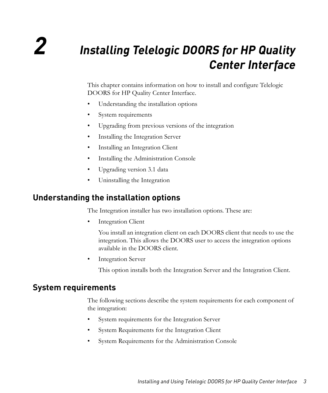## <span id="page-10-0"></span>*2 Installing Telelogic DOORS for HP Quality Center Interface*

This chapter contains information on how to install and configure Telelogic DOORS for HP Quality Center Interface.

- [Understanding the installation options](#page-10-1)
- [System requirements](#page-10-2)
- [Upgrading from previous versions of the integration](#page-12-1)
- [Installing the Integration Server](#page-13-2)
- [Installing an Integration Client](#page-18-0)
- [Installing the Administration Console](#page-19-0)
- [Upgrading version 3.1 data](#page-21-0)
- [Uninstalling the Integration](#page-21-1)

## <span id="page-10-1"></span>**Understanding the installation options**

The Integration installer has two installation options. These are:

Integration Client

You install an integration client on each DOORS client that needs to use the integration. This allows the DOORS user to access the integration options available in the DOORS client.

Integration Server

This option installs both the Integration Server and the Integration Client.

#### <span id="page-10-3"></span><span id="page-10-2"></span>**System requirements**

The following sections describe the system requirements for each component of the integration:

- [System requirements for the Integration Server](#page-11-0)
- [System Requirements for the Integration Client](#page-11-1)
- [System Requirements for the Administration Console](#page-12-0)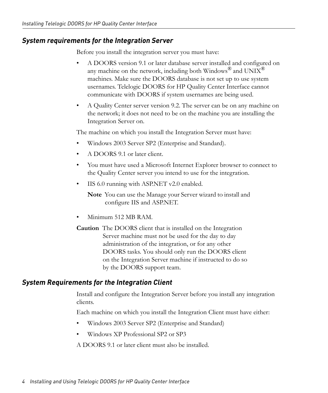#### <span id="page-11-0"></span>*System requirements for the Integration Server*

Before you install the integration server you must have:

- A DOORS version 9.1 or later database server installed and configured on any machine on the network, including both Windows<sup>®</sup> and  $UNIX^{\circledR}$ machines. Make sure the DOORS database is not set up to use system usernames. Telelogic DOORS for HP Quality Center Interface cannot communicate with DOORS if system usernames are being used.
- A Quality Center server version 9.2. The server can be on any machine on the network; it does not need to be on the machine you are installing the Integration Server on.

The machine on which you install the Integration Server must have:

- Windows 2003 Server SP2 (Enterprise and Standard).
- A DOORS 9.1 or later client.
- You must have used a Microsoft Internet Explorer browser to connect to the Quality Center server you intend to use for the integration.
- IIS 6.0 running with ASP.NET v2.0 enabled.

**Note** You can use the Manage your Server wizard to install and configure IIS and ASP.NET.

- Minimum 512 MB RAM.
- **Caution** The DOORS client that is installed on the Integration Server machine must not be used for the day to day administration of the integration, or for any other DOORS tasks. You should only run the DOORS client on the Integration Server machine if instructed to do so by the DOORS support team.

### <span id="page-11-1"></span>*System Requirements for the Integration Client*

Install and configure the Integration Server before you install any integration clients.

Each machine on which you install the Integration Client must have either:

- Windows 2003 Server SP2 (Enterprise and Standard)
- Windows XP Professional SP2 or SP3

A DOORS 9.1 or later client must also be installed.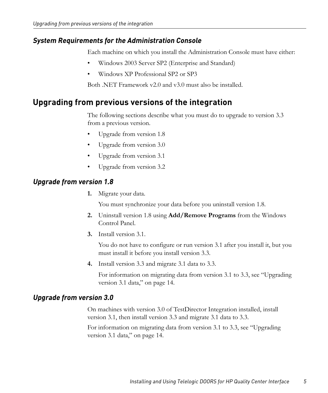#### <span id="page-12-0"></span>*System Requirements for the Administration Console*

Each machine on which you install the Administration Console must have either:

- Windows 2003 Server SP2 (Enterprise and Standard)
- Windows XP Professional SP2 or SP3

Both .NET Framework v2.0 and v3.0 must also be installed.

## <span id="page-12-4"></span><span id="page-12-1"></span>**Upgrading from previous versions of the integration**

The following sections describe what you must do to upgrade to version 3.3 from a previous version.

- [Upgrade from version 1.8](#page-12-2)
- [Upgrade from version 3.0](#page-12-3)
- [Upgrade from version 3.1](#page-13-0)
- [Upgrade from version 3.2](#page-13-1)

#### <span id="page-12-2"></span>*Upgrade from version 1.8*

**1.** Migrate your data.

You must synchronize your data before you uninstall version 1.8.

- **2.** Uninstall version 1.8 using **Add/Remove Programs** from the Windows Control Panel.
- **3.** Install version 3.1.

You do not have to configure or run version 3.1 after you install it, but you must install it before you install version 3.3.

**4.** Install version 3.3 and migrate 3.1 data to 3.3.

For information on migrating data from version 3.1 to 3.3, see ["Upgrading](#page-21-0)  [version 3.1 data," on page 14](#page-21-0).

#### <span id="page-12-3"></span>*Upgrade from version 3.0*

On machines with version 3.0 of TestDirector Integration installed, install version 3.1, then install version 3.3 and migrate 3.1 data to 3.3.

For information on migrating data from version 3.1 to 3.3, see ["Upgrading](#page-21-0)  [version 3.1 data," on page 14](#page-21-0).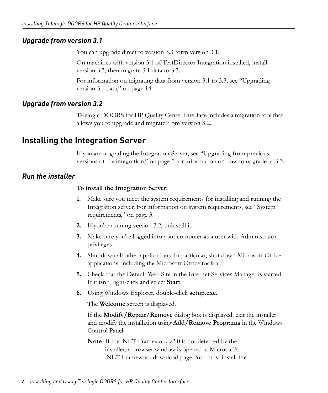#### <span id="page-13-0"></span>*Upgrade from version 3.1*

You can upgrade direct to version 3.3 form version 3.1.

On machines with version 3.1 of TestDirector Integration installed, install version 3.3, then migrate 3.1 data to 3.3.

For information on migrating data from version 3.1 to 3.3, see ["Upgrading](#page-21-0)  [version 3.1 data," on page 14](#page-21-0).

#### <span id="page-13-1"></span>*Upgrade from version 3.2*

Telelogic DOORS for HP Quality Center Interface includes a migration tool that allows you to upgrade and migrate from version 3.2.

## <span id="page-13-4"></span><span id="page-13-2"></span>**Installing the Integration Server**

If you are upgrading the Integration Server, see ["Upgrading from previous](#page-12-1)  [versions of the integration," on page 5](#page-12-1) for information on how to upgrade to 3.3.

#### <span id="page-13-3"></span>*Run the installer*

#### **To install the Integration Server:**

- **1.** Make sure you meet the system requirements for installing and running the Integration server. For information on system requirements, see ["System](#page-10-2)  [requirements," on page 3.](#page-10-2)
- **2.** If you're running version 3.2, uninstall it.
- **3.** Make sure you're logged into your computer as a user with Administrator privileges.
- **4.** Shut down all other applications. In particular, shut down Microsoft Office applications, including the Microsoft Office toolbar.
- **5.** Check that the Default Web Site in the Internet Services Manager is started. If it isn't, right-click and select **Start**.
- **6.** Using Windows Explorer, double-click **setup.exe**.

The **Welcome** screen is displayed.

If the **Modify/Repair/Remove** dialog box is displayed, exit the installer and modify the installation using **Add/Remove Programs** in the Windows Control Panel.

**Note** If the .NET Framework v2.0 is not detected by the installer, a browser window is opened at Microsoft's .NET Framework download page. You must install the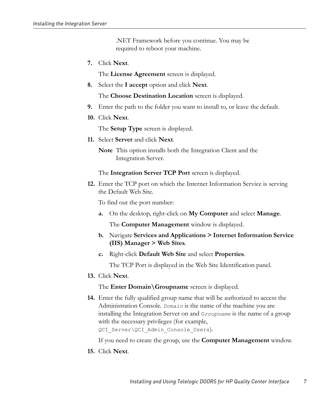.NET Framework before you continue. You may be required to reboot your machine.

**7.** Click **Next**.

The **License Agreement** screen is displayed.

**8.** Select the **I accept** option and click **Next**.

The **Choose Destination Location** screen is displayed.

- **9.** Enter the path to the folder you want to install to, or leave the default.
- **10.** Click **Next**.

The **Setup Type** screen is displayed.

**11.** Select **Server** and click **Next**.

**Note** This option installs both the Integration Client and the Integration Server.

The **Integration Server TCP Port** screen is displayed.

<span id="page-14-1"></span>**12.** Enter the TCP port on which the Internet Information Service is serving the Default Web Site.

To find out the port number:

**a.** On the desktop, right-click on **My Computer** and select **Manage**.

The **Computer Management** window is displayed.

- **b.** Navigate **Services and Applications > Internet Information Service (IIS) Manager > Web Sites**.
- **c.** Right-click **Default Web Site** and select **Properties**.

The TCP Port is displayed in the Web Site Identification panel.

**13.** Click **Next**.

The **Enter Domain\Groupname** screen is displayed.

<span id="page-14-0"></span>**14.** Enter the fully qualified group name that will be authorized to access the Administration Console. *Domain* is the name of the machine you are installing the Integration Server on and G*roupname* is the name of a group with the necessary privileges (for example, QCI Server\QCI Admin Console Users).

If you need to create the group, use the **Computer Management** window.

**15.** Click **Next**.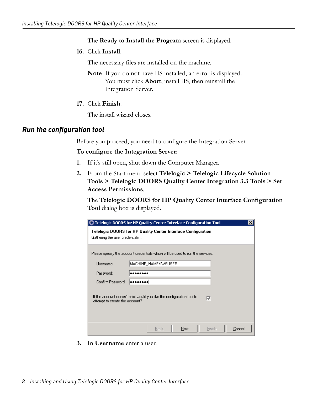#### The **Ready to Install the Program** screen is displayed.

#### **16.** Click **Install**.

The necessary files are installed on the machine.

- **Note** If you do not have IIS installed, an error is displayed. You must click **Abort**, install IIS, then reinstall the Integration Server.
- **17.** Click **Finish**.

The install wizard closes.

#### <span id="page-15-0"></span>*Run the configuration tool*

Before you proceed, you need to configure the Integration Server.

#### **To configure the Integration Server:**

- **1.** If it's still open, shut down the Computer Manager.
- **2.** From the Start menu select **Telelogic > Telelogic Lifecycle Solution Tools > Telelogic DOORS Quality Center Integration 3.3 Tools > Set Access Permissions**.

The **Telelogic DOORS for HP Quality Center Interface Configuration Tool** dialog box is displayed.

|                                | Telelogic DOORS for HP Quality Center Interface Configuration Tool             | $\times$ |
|--------------------------------|--------------------------------------------------------------------------------|----------|
| Gathering the user credentials | Telelogic DOORS for HP Quality Center Interface Configuration                  |          |
|                                | Please specify the account credentials which will be used to run the services. |          |
| Username:                      | MACHINE NAME\IWSUSER                                                           |          |
| Password:                      |                                                                                |          |
| Confirm Password:              |                                                                                |          |
| attempt to create the account? | If the account doesn't exist would you like the configuration tool to<br>⊽     |          |
|                                | Next<br>Finish<br>Cancel<br>Back                                               |          |

**3.** In **Username** enter a user.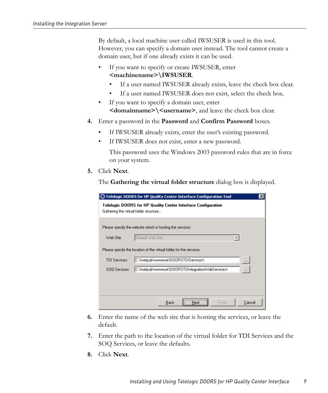By default, a local machine user called IWSUSER is used in this tool. However, you can specify a domain user instead. The tool cannot create a domain user, but if one already exists it can be used.

- If you want to specify or create IWSUSER, enter **<machinename>\IWSUSER**.
	- If a user named IWSUSER already exists, leave the check box clear.
	- If a user named IWSUSER does not exist, select the check box.
- If you want to specify a domain user, enter **<domainname>\<username>**, and leave the check box clear.
- **4.** Enter a password in the **Password** and **Confirm Password** boxes.
	- If IWSUSER already exists, enter the user's existing password.
	- If IWSUSER does not exist, enter a new password.

This password uses the Windows 2003 password rules that are in force on your system.

**5.** Click **Next**.

The **Gathering the virtual folder structure** dialog box is displayed.

|                                        | Telelogic DOORS for HP Quality Center Interface Configuration Tool  | $\boldsymbol{\mathsf{x}}$ |
|----------------------------------------|---------------------------------------------------------------------|---------------------------|
| Gathering the virtual folder structure | Telelogic DOORS for HP Quality Center Interface Configuration       |                           |
|                                        | Please specify the website which is hosting the services:           |                           |
| Web Site:                              | Default Web Site                                                    |                           |
|                                        | Please specify the location of the virtual folder for the services. |                           |
| <b>TDI Services:</b>                   | C:\Inetpub\wwwroot\DOORSTDIServices\                                |                           |
| SOQ Services:                          | C:\Inetpub\wwwroot\DOORSTDIntegration\VebServices\                  |                           |
|                                        |                                                                     |                           |
|                                        | Back<br>Cancel<br>Finish<br>Next                                    |                           |

- **6.** Enter the name of the web site that is hosting the services, or leave the default.
- **7.** Enter the path to the location of the virtual folder for TDI Services and the SOQ Services, or leave the defaults.
- **8.** Click **Next**.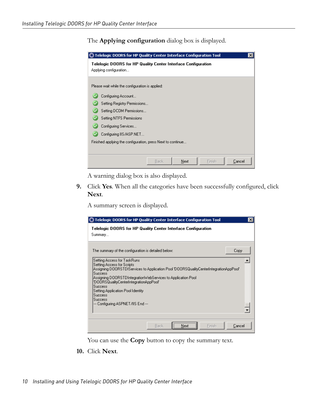The **Applying configuration** dialog box is displayed.

| $\vert x \vert$<br>Telelogic DOORS for HP Quality Center Interface Configuration Tool   |
|-----------------------------------------------------------------------------------------|
| Telelogic DOORS for HP Quality Center Interface Configuration<br>Applying configuration |
| Please wait while the configuration is applied:                                         |
| Configuring Account                                                                     |
| Setting Registry Permissions                                                            |
| Setting DCOM Permissions                                                                |
| Setting NTFS Permissions                                                                |
| Configuring Services                                                                    |
| Configuring IIS/ASP.NET                                                                 |
| Finished applying the configuration, press Next to continue                             |
|                                                                                         |
| Next<br>Finish<br>Cancel<br>Back                                                        |

A warning dialog box is also displayed.

**9.** Click **Yes**. When all the categories have been successfully configured, click **Next**.

A summary screen is displayed.

| Telelogic DOORS for HP Quality Center Interface Configuration Tool                                                                                                                                                                                                                                                                                                                                       | ×      |
|----------------------------------------------------------------------------------------------------------------------------------------------------------------------------------------------------------------------------------------------------------------------------------------------------------------------------------------------------------------------------------------------------------|--------|
| Telelogic DOORS for HP Quality Center Interface Configuration<br>Summary                                                                                                                                                                                                                                                                                                                                 |        |
| The summary of the configuration is detailed below:                                                                                                                                                                                                                                                                                                                                                      | Copy   |
| Setting Access for TaskRuns<br>Setting Access for Scripts<br>"Assigning DOORSTDIServices to Application Pool 'DOORSQualityCenterIntegrationAppPool<br><b>Success</b><br>Assigning DOORSTDIntegrationWebServices to Application Pool.<br>'DOORSQualityCenterIntegrationAppPool'<br>Success<br>Setting Application Pool Identity<br><b>Success</b><br><b>Success</b><br>--- Configuring ASPNET/IIS End --- |        |
| Finish<br>Back<br>Next                                                                                                                                                                                                                                                                                                                                                                                   | Cancel |

You can use the **Copy** button to copy the summary text.

**10.** Click **Next**.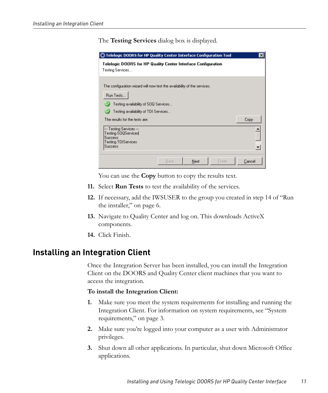The **Testing Services** dialog box is displayed.

| Telelogic DOORS for HP Quality Center Interface Configuration Tool                                                                                                                                      | $\vert x \vert$ |
|---------------------------------------------------------------------------------------------------------------------------------------------------------------------------------------------------------|-----------------|
| Telelogic DOORS for HP Quality Center Interface Configuration<br>Testing Services                                                                                                                       |                 |
| The configuration wizard will now test the availability of the services.<br>Run Tests<br>Testing availability of SOQ Services<br>Testing availability of TDI Services<br>The results for the tests are: | Copy            |
| --- Testing Services ---<br>Testing SOQServices<br><b>Success</b><br>Testing TDIServices<br><b>Success</b>                                                                                              |                 |
| Next<br>Finish<br>Back                                                                                                                                                                                  | Cancel          |

You can use the **Copy** button to copy the results text.

- **11.** Select **Run Tests** to test the availability of the services.
- **12.** If necessary, add the IWSUSER to the group you created in [step 14](#page-14-0) of ["Run](#page-13-3)  [the installer," on page 6](#page-13-3).
- **13.** Navigate to Quality Center and log on. This downloads ActiveX components.
- **14.** Click Finish.

### <span id="page-18-1"></span><span id="page-18-0"></span>**Installing an Integration Client**

Once the Integration Server has been installed, you can install the Integration Client on the DOORS and Quality Center client machines that you want to access the integration.

#### **To install the Integration Client:**

- **1.** Make sure you meet the system requirements for installing and running the Integration Client. For information on system requirements, see ["System](#page-10-2)  [requirements," on page 3.](#page-10-2)
- **2.** Make sure you're logged into your computer as a user with Administrator privileges.
- **3.** Shut down all other applications. In particular, shut down Microsoft Office applications.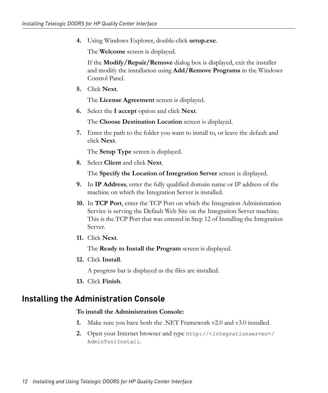**4.** Using Windows Explorer, double-click **setup.exe**.

The **Welcome** screen is displayed.

If the **Modify/Repair/Remove** dialog box is displayed, exit the installer and modify the installation using **Add/Remove Programs** in the Windows Control Panel.

**5.** Click **Next**.

The **License Agreement** screen is displayed.

**6.** Select the **I accept** option and click **Next**.

The **Choose Destination Location** screen is displayed.

**7.** Enter the path to the folder you want to install to, or leave the default and click **Next**.

The **Setup Type** screen is displayed.

**8.** Select **Client** and click **Next**.

The **Specify the Location of Integration Server** screen is displayed.

- **9.** In **IP Address**, enter the fully qualified domain name or IP address of the machine on which the Integration Server is installed.
- **10.** In **TCP Port**, enter the TCP Port on which the Integration Administration Service is serving the Default Web Site on the Integration Server machine. This is the TCP Port that was entered in [Step 12](#page-14-1) of [Installing the Integration](#page-13-2)  [Server](#page-13-2).
- **11.** Click **Next**.

The **Ready to Install the Program** screen is displayed.

**12.** Click **Install**.

A progress bar is displayed as the files are installed.

**13.** Click **Finish**.

### <span id="page-19-1"></span><span id="page-19-0"></span>**Installing the Administration Console**

#### **To install the Administration Console:**

- **1.** Make sure you have both the .NET Framework v2.0 and v3.0 installed.
- **2.** Open your Internet browser and type http://<*integrationserver*>/ AdminToolInstall.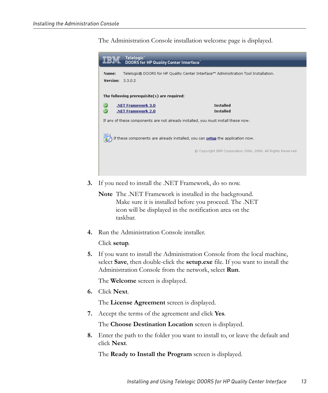The Administration Console installation welcome page is displayed.



**3.** If you need to install the .NET Framework, do so now.

**Note** The .NET Framework is installed in the background. Make sure it is installed before you proceed. The .NET icon will be displayed in the notification area on the taskbar.

**4.** Run the Administration Console installer.

Click **setup**.

**5.** If you want to install the Administration Console from the local machine, select **Save**, then double-click the **setup.exe** file. If you want to install the Administration Console from the network, select **Run**.

The **Welcome** screen is displayed.

**6.** Click **Next**.

The **License Agreement** screen is displayed.

**7.** Accept the terms of the agreement and click **Yes**.

The **Choose Destination Location** screen is displayed.

**8.** Enter the path to the folder you want to install to, or leave the default and click **Next**.

The **Ready to Install the Program** screen is displayed.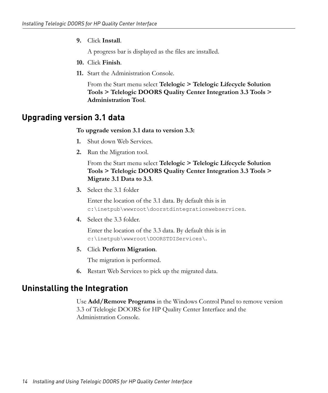**9.** Click **Install**.

A progress bar is displayed as the files are installed.

- **10.** Click **Finish**.
- **11.** Start the Administration Console.

From the Start menu select **Telelogic > Telelogic Lifecycle Solution Tools > Telelogic DOORS Quality Center Integration 3.3 Tools > Administration Tool**.

## <span id="page-21-2"></span><span id="page-21-0"></span>**Upgrading version 3.1 data**

**To upgrade version 3.1 data to version 3.3:**

- **1.** Shut down Web Services.
- **2.** Run the Migration tool.

From the Start menu select **Telelogic > Telelogic Lifecycle Solution Tools > Telelogic DOORS Quality Center Integration 3.3 Tools > Migrate 3.1 Data to 3.3**.

**3.** Select the 3.1 folder

Enter the location of the 3.1 data. By default this is in c:\inetpub\wwwroot\doorstdintegrationwebservices.

**4.** Select the 3.3 folder.

Enter the location of the 3.3 data. By default this is in c:\inetpub\wwwroot\DOORSTDIServices\.

**5.** Click **Perform Migration**.

The migration is performed.

**6.** Restart Web Services to pick up the migrated data.

## <span id="page-21-3"></span><span id="page-21-1"></span>**Uninstalling the Integration**

Use **Add/Remove Programs** in the Windows Control Panel to remove version 3.3 of Telelogic DOORS for HP Quality Center Interface and the Administration Console.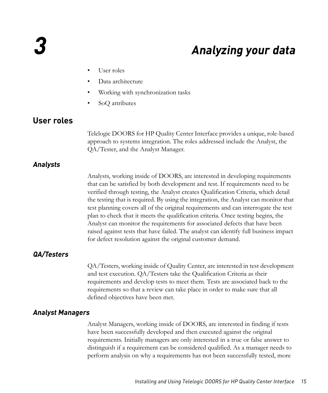## <span id="page-22-5"></span>*3 Analyzing your data*

- <span id="page-22-0"></span>• [User roles](#page-22-1)
- [Data architecture](#page-23-1)
- [Working with synchronization tasks](#page-23-2)
- [SoQ attributes](#page-24-0)

### <span id="page-22-6"></span><span id="page-22-1"></span>**User roles**

Telelogic DOORS for HP Quality Center Interface provides a unique, role-based approach to systems integration. The roles addressed include the Analyst, the QA/Tester, and the Analyst Manager.

#### <span id="page-22-2"></span>*Analysts*

Analysts, working inside of DOORS, are interested in developing requirements that can be satisfied by both development and test. If requirements need to be verified through testing, the Analyst creates Qualification Criteria, which detail the testing that is required. By using the integration, the Analyst can monitor that test planning covers all of the original requirements and can interrogate the test plan to check that it meets the qualification criteria. Once testing begins, the Analyst can monitor the requirements for associated defects that have been raised against tests that have failed. The analyst can identify full business impact for defect resolution against the original customer demand.

#### <span id="page-22-3"></span>*QA/Testers*

QA/Testers, working inside of Quality Center, are interested in test development and test execution. QA/Testers take the Qualification Criteria as their requirements and develop tests to meet them. Tests are associated back to the requirements so that a review can take place in order to make sure that all defined objectives have been met.

#### <span id="page-22-4"></span>*Analyst Managers*

Analyst Managers, working inside of DOORS, are interested in finding if tests have been successfully developed and then executed against the original requirements. Initially managers are only interested in a true or false answer to distinguish if a requirement can be considered qualified. As a manager needs to perform analysis on why a requirements has not been successfully tested, more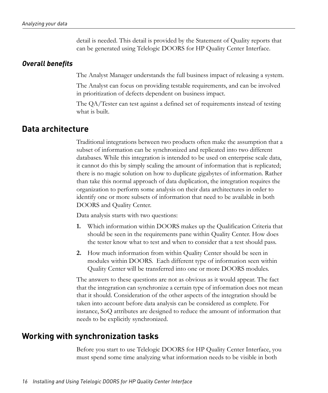detail is needed. This detail is provided by the Statement of Quality reports that can be generated using Telelogic DOORS for HP Quality Center Interface.

#### <span id="page-23-0"></span>*Overall benefits*

The Analyst Manager understands the full business impact of releasing a system.

The Analyst can focus on providing testable requirements, and can be involved in prioritization of defects dependent on business impact.

The QA/Tester can test against a defined set of requirements instead of testing what is built.

## <span id="page-23-3"></span><span id="page-23-1"></span>**Data architecture**

Traditional integrations between two products often make the assumption that a subset of information can be synchronized and replicated into two different databases. While this integration is intended to be used on enterprise scale data, it cannot do this by simply scaling the amount of information that is replicated; there is no magic solution on how to duplicate gigabytes of information. Rather than take this normal approach of data duplication, the integration requires the organization to perform some analysis on their data architectures in order to identify one or more subsets of information that need to be available in both DOORS and Quality Center.

Data analysis starts with two questions:

- **1.** Which information within DOORS makes up the Qualification Criteria that should be seen in the requirements pane within Quality Center. How does the tester know what to test and when to consider that a test should pass.
- **2.** How much information from within Quality Center should be seen in modules within DOORS. Each different type of information seen within Quality Center will be transferred into one or more DOORS modules.

The answers to these questions are not as obvious as it would appear. The fact that the integration can synchronize a certain type of information does not mean that it should. Consideration of the other aspects of the integration should be taken into account before data analysis can be considered as complete. For instance, SoQ attributes are designed to reduce the amount of information that needs to be explicitly synchronized.

## <span id="page-23-4"></span><span id="page-23-2"></span>**Working with synchronization tasks**

Before you start to use Telelogic DOORS for HP Quality Center Interface, you must spend some time analyzing what information needs to be visible in both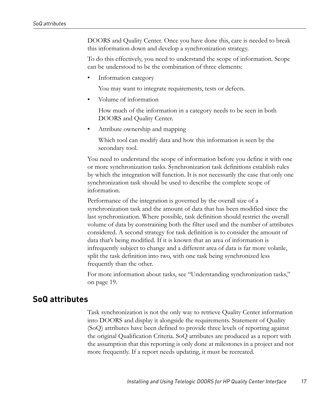DOORS and Quality Center. Once you have done this, care is needed to break this information down and develop a synchronization strategy.

To do this effectively, you need to understand the scope of information. Scope can be understood to be the combination of three elements:

• Information category

You may want to integrate requirements, tests or defects.

• Volume of information

How much of the information in a category needs to be seen in both DOORS and Quality Center.

• Attribute ownership and mapping

Which tool can modify data and how this information is seen by the secondary tool.

You need to understand the scope of information before you define it with one or more synchronization tasks. Synchronization task definitions establish rules by which the integration will function. It is not necessarily the case that only one synchronization task should be used to describe the complete scope of information.

Performance of the integration is governed by the overall size of a synchronization task and the amount of data that has been modified since the last synchronization. Where possible, task definition should restrict the overall volume of data by constraining both the filter used and the number of attributes considered. A second strategy for task definition is to consider the amount of data that's being modified. If it is known that an area of information is infrequently subject to change and a different area of data is far more volatile, split the task definition into two, with one task being synchronized less frequently than the other.

For more information about tasks, see ["Understanding synchronization tasks,"](#page-26-3)  [on page 19.](#page-26-3)

### <span id="page-24-1"></span><span id="page-24-0"></span>**SoQ attributes**

Task synchronization is not the only way to retrieve Quality Center information into DOORS and display it alongside the requirements. Statement of Quality (SoQ) attributes have been defined to provide three levels of reporting against the original Qualification Criteria. SoQ attributes are produced as a report with the assumption that this reporting is only done at milestones in a project and not more frequently. If a report needs updating, it must be recreated.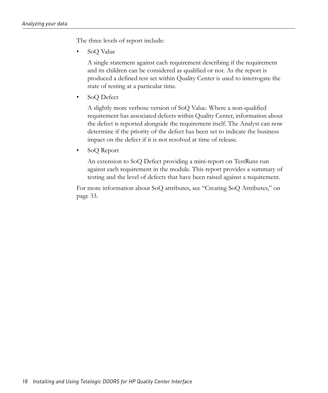The three levels of report include:

• SoQ Value

A single statement against each requirement describing if the requirement and its children can be considered as qualified or not. As the report is produced a defined test set within Quality Center is used to interrogate the state of testing at a particular time.

• SoQ Defect

A slightly more verbose version of SoQ Value. Where a non-qualified requirement has associated defects within Quality Center, information about the defect is reported alongside the requirement itself. The Analyst can now determine if the priority of the defect has been set to indicate the business impact on the defect if it is not resolved at time of release.

• SoQ Report

An extension to SoQ Defect providing a mini-report on TestRuns run against each requirement in the module. This report provides a summary of testing and the level of defects that have been raised against a requirement.

For more information about SoQ attributes, see ["Creating SoQ Attributes," on](#page-40-3)  [page 33.](#page-40-3)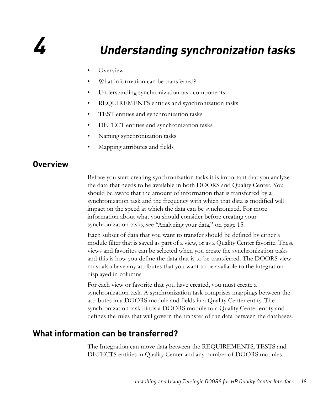## <span id="page-26-0"></span>*4 Understanding synchronization tasks*

- <span id="page-26-3"></span>• [Overview](#page-26-1)
- [What information can be transferred?](#page-26-2)
- [Understanding synchronization task components](#page-28-0)
- [REQUIREMENTS entities and synchronization tasks](#page-29-0)
- [TEST entities and synchronization tasks](#page-30-0)
- [DEFECT entities and synchronization tasks](#page-31-0)
- [Naming synchronization tasks](#page-31-1)
- [Mapping attributes and fields](#page-31-2)

## <span id="page-26-1"></span>**Overview**

Before you start creating synchronization tasks it is important that you analyze the data that needs to be available in both DOORS and Quality Center. You should be aware that the amount of information that is transferred by a synchronization task and the frequency with which that data is modified will impact on the speed at which the data can be synchronized. For more information about what you should consider before creating your synchronization tasks, see ["Analyzing your data," on page 15.](#page-22-5)

Each subset of data that you want to transfer should be defined by either a module filter that is saved as part of a view, or as a Quality Center favorite. These views and favorites can be selected when you create the synchronization tasks and this is how you define the data that is to be transferred. The DOORS view must also have any attributes that you want to be available to the integration displayed in columns.

For each view or favorite that you have created, you must create a synchronization task. A synchronization task comprises mappings between the attributes in a DOORS module and fields in a Quality Center entity. The synchronization task binds a DOORS module to a Quality Center entity and defines the rules that will govern the transfer of the data between the databases.

## <span id="page-26-2"></span>**What information can be transferred?**

The Integration can move data between the REQUIREMENTS, TESTS and DEFECTS entities in Quality Center and any number of DOORS modules.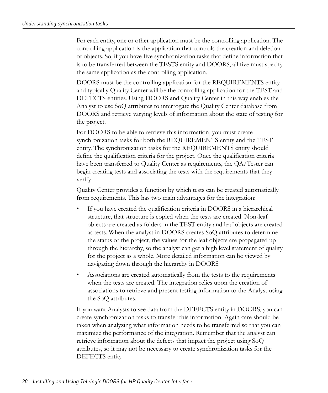For each entity, one or other application must be the controlling application. The controlling application is the application that controls the creation and deletion of objects. So, if you have five synchronization tasks that define information that is to be transferred between the TESTS entity and DOORS, all five must specify the same application as the controlling application.

DOORS must be the controlling application for the REQUIREMENTS entity and typically Quality Center will be the controlling application for the TEST and DEFECTS entities. Using DOORS and Quality Center in this way enables the Analyst to use SoQ attributes to interrogate the Quality Center database from DOORS and retrieve varying levels of information about the state of testing for the project.

For DOORS to be able to retrieve this information, you must create synchronization tasks for both the REQUIREMENTS entity and the TEST entity. The synchronization tasks for the REQUIREMENTS entity should define the qualification criteria for the project. Once the qualification criteria have been transferred to Quality Center as requirements, the QA/Tester can begin creating tests and associating the tests with the requirements that they verify.

Quality Center provides a function by which tests can be created automatically from requirements. This has two main advantages for the integration:

- If you have created the qualification criteria in DOORS in a hierarchical structure, that structure is copied when the tests are created. Non-leaf objects are created as folders in the TEST entity and leaf objects are created as tests. When the analyst in DOORS creates SoQ attributes to determine the status of the project, the values for the leaf objects are propagated up through the hierarchy, so the analyst can get a high level statement of quality for the project as a whole. More detailed information can be viewed by navigating down through the hierarchy in DOORS.
- Associations are created automatically from the tests to the requirements when the tests are created. The integration relies upon the creation of associations to retrieve and present testing information to the Analyst using the SoQ attributes.

If you want Analysts to see data from the DEFECTS entity in DOORS, you can create synchronization tasks to transfer this information. Again care should be taken when analyzing what information needs to be transferred so that you can maximize the performance of the integration. Remember that the analyst can retrieve information about the defects that impact the project using SoQ attributes, so it may not be necessary to create synchronization tasks for the DEFECTS entity.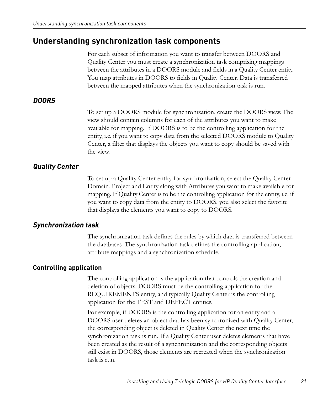## <span id="page-28-0"></span>**Understanding synchronization task components**

For each subset of information you want to transfer between DOORS and Quality Center you must create a synchronization task comprising mappings between the attributes in a DOORS module and fields in a Quality Center entity. You map attributes in DOORS to fields in Quality Center. Data is transferred between the mapped attributes when the synchronization task is run.

#### <span id="page-28-1"></span>*DOORS*

To set up a DOORS module for synchronization, create the DOORS view. The view should contain columns for each of the attributes you want to make available for mapping. If DOORS is to be the controlling application for the entity, i.e. if you want to copy data from the selected DOORS module to Quality Center, a filter that displays the objects you want to copy should be saved with the view.

#### <span id="page-28-2"></span>*Quality Center*

To set up a Quality Center entity for synchronization, select the Quality Center Domain, Project and Entity along with Attributes you want to make available for mapping. If Quality Center is to be the controlling application for the entity, i.e. if you want to copy data from the entity to DOORS, you also select the favorite that displays the elements you want to copy to DOORS.

#### <span id="page-28-3"></span>*Synchronization task*

The synchronization task defines the rules by which data is transferred between the databases. The synchronization task defines the controlling application, attribute mappings and a synchronization schedule.

#### **Controlling application**

The controlling application is the application that controls the creation and deletion of objects. DOORS must be the controlling application for the REQUIREMENTS entity, and typically Quality Center is the controlling application for the TEST and DEFECT entities.

For example, if DOORS is the controlling application for an entity and a DOORS user deletes an object that has been synchronized with Quality Center, the corresponding object is deleted in Quality Center the next time the synchronization task is run. If a Quality Center user deletes elements that have been created as the result of a synchronization and the corresponding objects still exist in DOORS, those elements are recreated when the synchronization task is run.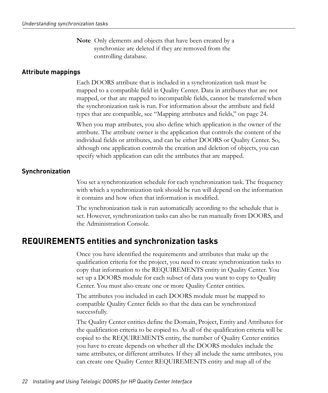**Note** Only elements and objects that have been created by a synchronize are deleted if they are removed from the controlling database.

#### **Attribute mappings**

Each DOORS attribute that is included in a synchronization task must be mapped to a compatible field in Quality Center. Data in attributes that are not mapped, or that are mapped to incompatible fields, cannot be transferred when the synchronization task is run. For information about the attribute and field types that are compatible, see ["Mapping attributes and fields," on page 24.](#page-31-2)

When you map attributes, you also define which application is the owner of the attribute. The attribute owner is the application that controls the content of the individual fields or attributes, and can be either DOORS or Quality Center. So, although one application controls the creation and deletion of objects, you can specify which application can edit the attributes that are mapped.

#### **Synchronization**

You set a synchronization schedule for each synchronization task. The frequency with which a synchronization task should be run will depend on the information it contains and how often that information is modified.

The synchronization task is run automatically according to the schedule that is set. However, synchronization tasks can also be run manually from DOORS, and the Administration Console.

## <span id="page-29-0"></span>**REQUIREMENTS entities and synchronization tasks**

Once you have identified the requirements and attributes that make up the qualification criteria for the project, you need to create synchronization tasks to copy that information to the REQUIREMENTS entity in Quality Center. You set up a DOORS module for each subset of data you want to copy to Quality Center. You must also create one or more Quality Center entities.

The attributes you included in each DOORS module must be mapped to compatible Quality Center fields so that the data can be synchronized successfully.

The Quality Center entities define the Domain, Project, Entity and Attributes for the qualification criteria to be copied to. As all of the qualification criteria will be copied to the REQUIREMENTS entity, the number of Quality Center entities you have to create depends on whether all the DOORS modules include the same attributes, or different attributes. If they all include the same attributes, you can create one Quality Center REQUIREMENTS entity and map all of the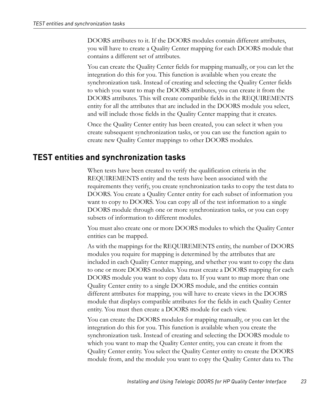DOORS attributes to it. If the DOORS modules contain different attributes, you will have to create a Quality Center mapping for each DOORS module that contains a different set of attributes.

You can create the Quality Center fields for mapping manually, or you can let the integration do this for you. This function is available when you create the synchronization task. Instead of creating and selecting the Quality Center fields to which you want to map the DOORS attributes, you can create it from the DOORS attributes. This will create compatible fields in the REQUIREMENTS entity for all the attributes that are included in the DOORS module you select, and will include those fields in the Quality Center mapping that it creates.

Once the Quality Center entity has been created, you can select it when you create subsequent synchronization tasks, or you can use the function again to create new Quality Center mappings to other DOORS modules.

### <span id="page-30-0"></span>**TEST entities and synchronization tasks**

When tests have been created to verify the qualification criteria in the REQUIREMENTS entity and the tests have been associated with the requirements they verify, you create synchronization tasks to copy the test data to DOORS. You create a Quality Center entity for each subset of information you want to copy to DOORS. You can copy all of the test information to a single DOORS module through one or more synchronization tasks, or you can copy subsets of information to different modules.

You must also create one or more DOORS modules to which the Quality Center entities can be mapped.

As with the mappings for the REQUIREMENTS entity, the number of DOORS modules you require for mapping is determined by the attributes that are included in each Quality Center mapping, and whether you want to copy the data to one or more DOORS modules. You must create a DOORS mapping for each DOORS module you want to copy data to. If you want to map more than one Quality Center entity to a single DOORS module, and the entities contain different attributes for mapping, you will have to create views in the DOORS module that displays compatible attributes for the fields in each Quality Center entity. You must then create a DOORS module for each view.

You can create the DOORS modules for mapping manually, or you can let the integration do this for you. This function is available when you create the synchronization task. Instead of creating and selecting the DOORS module to which you want to map the Quality Center entity, you can create it from the Quality Center entity. You select the Quality Center entity to create the DOORS module from, and the module you want to copy the Quality Center data to. The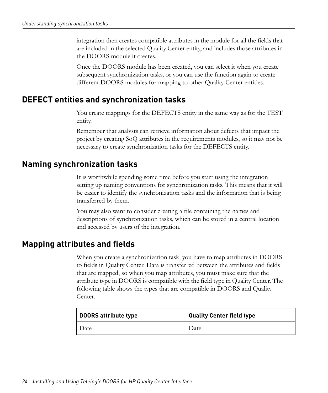integration then creates compatible attributes in the module for all the fields that are included in the selected Quality Center entity, and includes those attributes in the DOORS module it creates.

Once the DOORS module has been created, you can select it when you create subsequent synchronization tasks, or you can use the function again to create different DOORS modules for mapping to other Quality Center entities.

## <span id="page-31-0"></span>**DEFECT entities and synchronization tasks**

You create mappings for the DEFECTS entity in the same way as for the TEST entity.

Remember that analysts can retrieve information about defects that impact the project by creating SoQ attributes in the requirements modules, so it may not be necessary to create synchronization tasks for the DEFECTS entity.

## <span id="page-31-3"></span><span id="page-31-1"></span>**Naming synchronization tasks**

It is worthwhile spending some time before you start using the integration setting up naming conventions for synchronization tasks. This means that it will be easier to identify the synchronization tasks and the information that is being transferred by them.

You may also want to consider creating a file containing the names and descriptions of synchronization tasks, which can be stored in a central location and accessed by users of the integration.

## <span id="page-31-2"></span>**Mapping attributes and fields**

When you create a synchronization task, you have to map attributes in DOORS to fields in Quality Center. Data is transferred between the attributes and fields that are mapped, so when you map attributes, you must make sure that the attribute type in DOORS is compatible with the field type in Quality Center. The following table shows the types that are compatible in DOORS and Quality Center.

| <b>DOORS</b> attribute type | Quality Center field type |
|-----------------------------|---------------------------|
| Date                        | Date                      |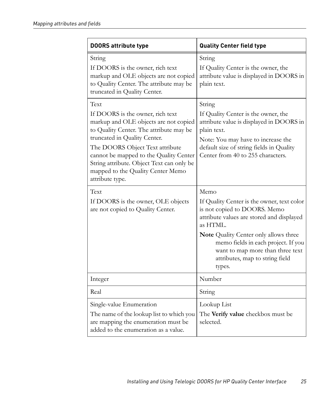| <b>DOORS attribute type</b>                                                                                                                                                                                                                                                                                                                    | <b>Quality Center field type</b>                                                                                                                                                                                                                                                                             |
|------------------------------------------------------------------------------------------------------------------------------------------------------------------------------------------------------------------------------------------------------------------------------------------------------------------------------------------------|--------------------------------------------------------------------------------------------------------------------------------------------------------------------------------------------------------------------------------------------------------------------------------------------------------------|
| String<br>If DOORS is the owner, rich text<br>markup and OLE objects are not copied<br>to Quality Center. The attribute may be<br>truncated in Quality Center.                                                                                                                                                                                 | String<br>If Quality Center is the owner, the<br>attribute value is displayed in DOORS in<br>plain text.                                                                                                                                                                                                     |
| Text<br>If DOORS is the owner, rich text<br>markup and OLE objects are not copied<br>to Quality Center. The attribute may be<br>truncated in Quality Center.<br>The DOORS Object Text attribute<br>cannot be mapped to the Quality Center<br>String attribute. Object Text can only be<br>mapped to the Quality Center Memo<br>attribute type. | String<br>If Quality Center is the owner, the<br>attribute value is displayed in DOORS in<br>plain text.<br>Note: You may have to increase the<br>default size of string fields in Quality<br>Center from 40 to 255 characters.                                                                              |
| Text<br>If DOORS is the owner, OLE objects<br>are not copied to Quality Center.                                                                                                                                                                                                                                                                | Memo<br>If Quality Center is the owner, text color<br>is not copied to DOORS. Memo<br>attribute values are stored and displayed<br>as HTML.<br>Note Quality Center only allows three<br>memo fields in each project. If you<br>want to map more than three text<br>attributes, map to string field<br>types. |
| Integer                                                                                                                                                                                                                                                                                                                                        | Number                                                                                                                                                                                                                                                                                                       |
| Real                                                                                                                                                                                                                                                                                                                                           | String                                                                                                                                                                                                                                                                                                       |
| Single-value Enumeration<br>The name of the lookup list to which you<br>are mapping the enumeration must be<br>added to the enumeration as a value.                                                                                                                                                                                            | Lookup List<br>The Verify value checkbox must be<br>selected.                                                                                                                                                                                                                                                |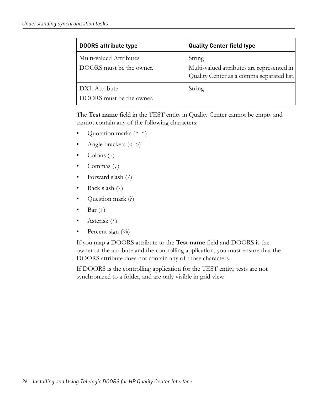| <b>DOORS</b> attribute type                         | <b>Quality Center field type</b>                                                                  |
|-----------------------------------------------------|---------------------------------------------------------------------------------------------------|
| Multi-valued Attributes<br>DOORS must be the owner. | String<br>Multi-valued attributes are represented in<br>Quality Center as a comma separated list. |
| DXL Attribute<br>DOORS must be the owner.           | String                                                                                            |

The **Test name** field in the TEST entity in Quality Center cannot be empty and cannot contain any of the following characters:

- Quotation marks (" ")
- Angle brackets (< >)
- Colons  $(:)$
- Commas  $($ , $)$
- Forward slash (/)
- Back slash  $(\setminus)$
- Question mark (?)
- Bar  $(|)$
- Asterisk  $(*)$
- Percent sign  $(\%)$

If you map a DOORS attribute to the **Test name** field and DOORS is the owner of the attribute and the controlling application, you must ensure that the DOORS attribute does not contain any of those characters.

If DOORS is the controlling application for the TEST entity, tests are not synchronized to a folder, and are only visible in grid view.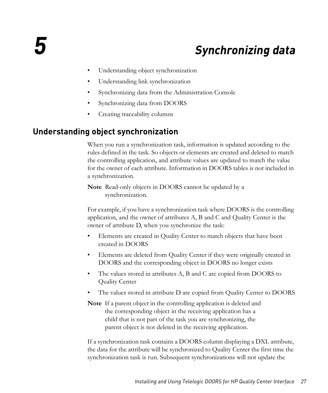## <span id="page-34-2"></span>*5 Synchronizing data*

- <span id="page-34-0"></span>• [Understanding object synchronization](#page-34-1)
- [Understanding link synchronization](#page-35-0)
- [Synchronizing data from the Administration Console](#page-36-1)
- [Synchronizing data from DOORS](#page-36-2)
- [Creating traceability columns](#page-38-0)

## <span id="page-34-3"></span><span id="page-34-1"></span>**Understanding object synchronization**

When you run a synchronization task, information is updated according to the rules defined in the task. So objects or elements are created and deleted to match the controlling application, and attribute values are updated to match the value for the owner of each attribute. Information in DOORS tables is not included in a synchronization.

**Note** Read-only objects in DOORS cannot be updated by a synchronization.

For example, if you have a synchronization task where DOORS is the controlling application, and the owner of attributes A, B and C and Quality Center is the owner of attribute D, when you synchronize the task:

- Elements are created in Quality Center to match objects that have been created in DOORS
- Elements are deleted from Quality Center if they were originally created in DOORS and the corresponding object in DOORS no longer exists
- The values stored in attributes A, B and C are copied from DOORS to Quality Center
- The values stored in attribute D are copied from Quality Center to DOORS
- **Note** If a parent object in the controlling application is deleted and the corresponding object in the receiving application has a child that is not part of the task you are synchronizing, the parent object is not deleted in the receiving application.

If a synchronization task contains a DOORS column displaying a DXL attribute, the data for the attribute will be synchronized to Quality Center the first time the synchronization task is run. Subsequent synchronizations will not update the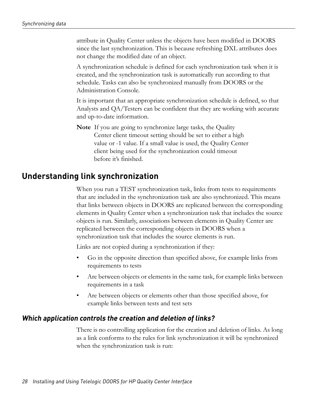attribute in Quality Center unless the objects have been modified in DOORS since the last synchronization. This is because refreshing DXL attributes does not change the modified date of an object.

A synchronization schedule is defined for each synchronization task when it is created, and the synchronization task is automatically run according to that schedule. Tasks can also be synchronized manually from DOORS or the Administration Console.

It is important that an appropriate synchronization schedule is defined, so that Analysts and QA/Testers can be confident that they are working with accurate and up-to-date information.

**Note** If you are going to synchronize large tasks, the Quality Center client timeout setting should be set to either a high value or -1 value. If a small value is used, the Quality Center client being used for the synchronization could timeout before it's finished.

### <span id="page-35-2"></span><span id="page-35-0"></span>**Understanding link synchronization**

When you run a TEST synchronization task, links from tests to requirements that are included in the synchronization task are also synchronized. This means that links between objects in DOORS are replicated between the corresponding elements in Quality Center when a synchronization task that includes the source objects is run. Similarly, associations between elements in Quality Center are replicated between the corresponding objects in DOORS when a synchronization task that includes the source elements is run.

Links are not copied during a synchronization if they:

- Go in the opposite direction than specified above, for example links from requirements to tests
- Are between objects or elements in the same task, for example links between requirements in a task
- Are between objects or elements other than those specified above, for example links between tests and test sets

#### <span id="page-35-1"></span>*Which application controls the creation and deletion of links?*

There is no controlling application for the creation and deletion of links. As long as a link conforms to the rules for link synchronization it will be synchronized when the synchronization task is run: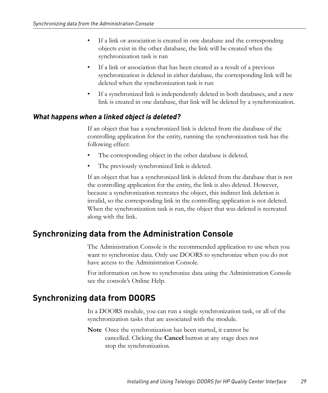- If a link or association is created in one database and the corresponding objects exist in the other database, the link will be created when the synchronization task is run
- If a link or association that has been created as a result of a previous synchronization is deleted in either database, the corresponding link will be deleted when the synchronization task is run
- If a synchronized link is independently deleted in both databases, and a new link is created in one database, that link will be deleted by a synchronization.

#### <span id="page-36-0"></span>*What happens when a linked object is deleted?*

If an object that has a synchronized link is deleted from the database of the controlling application for the entity, running the synchronization task has the following effect:

- The corresponding object in the other database is deleted.
- The previously synchronized link is deleted.

If an object that has a synchronized link is deleted from the database that is not the controlling application for the entity, the link is also deleted. However, because a synchronization recreates the object, this indirect link deletion is invalid, so the corresponding link in the controlling application is not deleted. When the synchronization task is run, the object that was deleted is recreated along with the link.

## <span id="page-36-3"></span><span id="page-36-1"></span>**Synchronizing data from the Administration Console**

The Administration Console is the recommended application to use when you want to synchronize data. Only use DOORS to synchronize when you do not have access to the Administration Console.

For information on how to synchronize data using the Administration Console see the console's Online Help.

## <span id="page-36-4"></span><span id="page-36-2"></span>**Synchronizing data from DOORS**

In a DOORS module, you can run a single synchronization task, or all of the synchronization tasks that are associated with the module.

**Note** Once the synchronization has been started, it cannot be cancelled. Clicking the **Cancel** button at any stage does not stop the synchronization.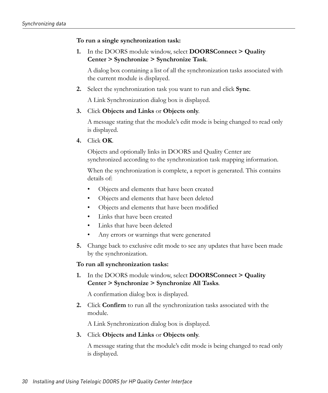#### **To run a single synchronization task:**

**1.** In the DOORS module window, select **DOORSConnect > Quality Center > Synchronize > Synchronize Task**.

A dialog box containing a list of all the synchronization tasks associated with the current module is displayed.

**2.** Select the synchronization task you want to run and click **Sync**.

A Link Synchronization dialog box is displayed.

#### **3.** Click **Objects and Links** or **Objects only**.

A message stating that the module's edit mode is being changed to read only is displayed.

**4.** Click **OK**.

Objects and optionally links in DOORS and Quality Center are synchronized according to the synchronization task mapping information.

When the synchronization is complete, a report is generated. This contains details of:

- Objects and elements that have been created
- Objects and elements that have been deleted
- Objects and elements that have been modified
- Links that have been created
- Links that have been deleted
- Any errors or warnings that were generated
- **5.** Change back to exclusive edit mode to see any updates that have been made by the synchronization.

#### **To run all synchronization tasks:**

**1.** In the DOORS module window, select **DOORSConnect > Quality Center > Synchronize > Synchronize All Tasks**.

A confirmation dialog box is displayed.

**2.** Click **Confirm** to run all the synchronization tasks associated with the module.

A Link Synchronization dialog box is displayed.

#### **3.** Click **Objects and Links** or **Objects only**.

A message stating that the module's edit mode is being changed to read only is displayed.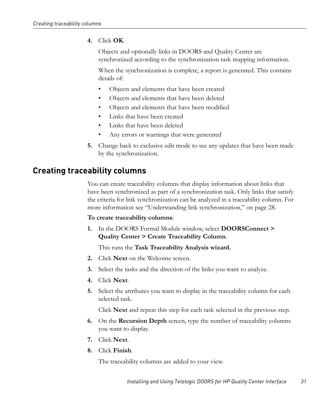#### **4.** Click **OK**.

Objects and optionally links in DOORS and Quality Center are synchronized according to the synchronization task mapping information.

When the synchronization is complete, a report is generated. This contains details of:

- Objects and elements that have been created
- Objects and elements that have been deleted
- Objects and elements that have been modified
- Links that have been created
- Links that have been deleted
- Any errors or warnings that were generated
- **5.** Change back to exclusive edit mode to see any updates that have been made by the synchronization.

## <span id="page-38-0"></span>**Creating traceability columns**

You can create traceability columns that display information about links that have been synchronized as part of a synchronization task. Only links that satisfy the criteria for link synchronization can be analyzed in a traceability column. For more information see ["Understanding link synchronization," on page 28](#page-35-0).

#### **To create traceability columns**:

**1.** In the DOORS Formal Module window, select **DOORSConnect > Quality Center > Create Traceability Column**.

This runs the **Task Traceability Analysis wizard.**

- **2.** Click **Next** on the Welcome screen.
- **3.** Select the tasks and the direction of the links you want to analyze.
- **4.** Click **Next**.
- **5.** Select the attributes you want to display in the traceability column for each selected task.

Click **Next** and repeat this step for each task selected in the previous step.

- **6.** On the **Recursion Depth** screen, type the number of traceability columns you want to display.
- **7.** Click **Next**.
- **8.** Click **Finish**.

The traceability columns are added to your view.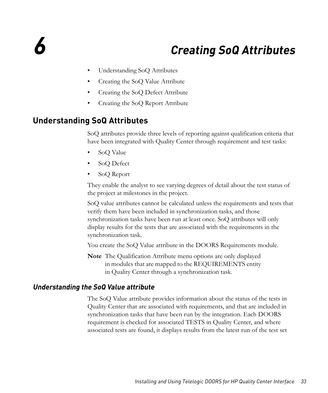## <span id="page-40-0"></span>*6 Creating SoQ Attributes*

- <span id="page-40-3"></span>• [Understanding SoQ Attributes](#page-40-1)
- [Creating the SoQ Value Attribute](#page-42-1)
- [Creating the SoQ Defect Attribute](#page-43-0)
- [Creating the SoQ Report Attribute](#page-44-0)

## <span id="page-40-4"></span><span id="page-40-1"></span>**Understanding SoQ Attributes**

SoQ attributes provide three levels of reporting against qualification criteria that have been integrated with Quality Center through requirement and test tasks:

- SoQ Value
- SoQ Defect
- SoQ Report

They enable the analyst to see varying degrees of detail about the test status of the project at milestones in the project.

SoQ value attributes cannot be calculated unless the requirements and tests that verify them have been included in synchronization tasks, and those synchronization tasks have been run at least once. SoQ attributes will only display results for the tests that are associated with the requirements in the synchronization task.

You create the SoQ Value attribute in the DOORS Requirements module.

**Note** The Qualification Attribute menu options are only displayed in modules that are mapped to the REQUIREMENTS entity in Quality Center through a synchronization task.

#### <span id="page-40-2"></span>*Understanding the SoQ Value attribute*

The SoQ Value attribute provides information about the status of the tests in Quality Center that are associated with requirements, and that are included in synchronization tasks that have been run by the integration. Each DOORS requirement is checked for associated TESTS in Quality Center, and where associated tests are found, it displays results from the latest run of the test set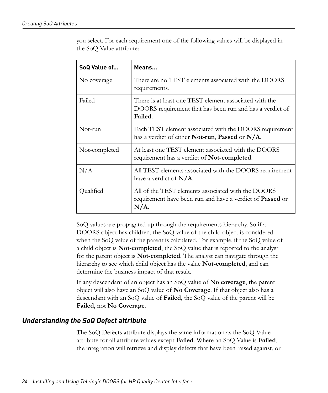you select. For each requirement one of the following values will be displayed in the SoQ Value attribute:

| SoQ Value of  | Means                                                                                                                             |
|---------------|-----------------------------------------------------------------------------------------------------------------------------------|
| No coverage   | There are no TEST elements associated with the DOORS<br>requirements.                                                             |
| Failed        | There is at least one TEST element associated with the<br>DOORS requirement that has been run and has a verdict of<br>Failed.     |
| Not-run       | Each TEST element associated with the DOORS requirement<br>has a verdict of either <b>Not-run</b> , <b>Passed</b> or $N/A$ .      |
| Not-completed | At least one TEST element associated with the DOORS<br>requirement has a verdict of <b>Not-completed</b> .                        |
| N/A           | All TEST elements associated with the DOORS requirement<br>have a verdict of $N/A$ .                                              |
| Qualified     | All of the TEST elements associated with the DOORS<br>requirement have been run and have a verdict of <b>Passed</b> or<br>$N/A$ . |

SoQ values are propagated up through the requirements hierarchy. So if a DOORS object has children, the SoQ value of the child object is considered when the SoQ value of the parent is calculated. For example, if the SoQ value of a child object is **Not-completed**, the SoQ value that is reported to the analyst for the parent object is **Not-completed**. The analyst can navigate through the hierarchy to see which child object has the value **Not-completed**, and can determine the business impact of that result.

If any descendant of an object has an SoQ value of **No coverage**, the parent object will also have an SoQ value of **No Coverage**. If that object also has a descendant with an SoQ value of **Failed**, the SoQ value of the parent will be **Failed**, not **No Coverage**.

#### <span id="page-41-0"></span>*Understanding the SoQ Defect attribute*

The SoQ Defects attribute displays the same information as the SoQ Value attribute for all attribute values except **Failed**. Where an SoQ Value is **Failed**, the integration will retrieve and display defects that have been raised against, or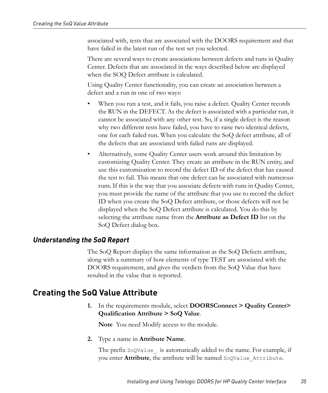associated with, tests that are associated with the DOORS requirement and that have failed in the latest run of the test set you selected.

There are several ways to create associations between defects and runs in Quality Center. Defects that are associated in the ways described below are displayed when the SOQ Defect attribute is calculated.

Using Quality Center functionality, you can create an association between a defect and a run in one of two ways:

- When you run a test, and it fails, you raise a defect. Quality Center records the RUN in the DEFECT. As the defect is associated with a particular run, it cannot be associated with any other test. So, if a single defect is the reason why two different tests have failed, you have to raise two identical defects, one for each failed run. When you calculate the SoQ defect attribute, all of the defects that are associated with failed runs are displayed.
- Alternatively, some Quality Center users work around this limitation by customizing Quality Center. They create an attribute in the RUN entity, and use this customization to record the defect ID of the defect that has caused the test to fail. This means that one defect can be associated with numerous runs. If this is the way that you associate defects with runs in Quality Center, you must provide the name of the attribute that you use to record the defect ID when you create the SoQ Defect attribute, or those defects will not be displayed when the SoQ Defect attribute is calculated. You do this by selecting the attribute name from the **Attribute as Defect ID** list on the SoQ Defect dialog box.

#### <span id="page-42-0"></span>*Understanding the SoQ Report*

The SoQ Report displays the same information as the SoQ Defects attribute, along with a summary of how elements of type TEST are associated with the DOORS requirement, and gives the verdicts from the SoQ Value that have resulted in the value that is reported.

## <span id="page-42-3"></span><span id="page-42-2"></span><span id="page-42-1"></span>**Creating the SoQ Value Attribute**

**1.** In the requirements module, select **DOORSConnect > Quality Center> Qualification Attribute > SoQ Value**.

**Note** You need Modify access to the module.

**2.** Type a name in **Attribute Name**.

The prefix SoQValue is automatically added to the name. For example, if you enter **Attribute**, the attribute will be named SoQValue Attribute.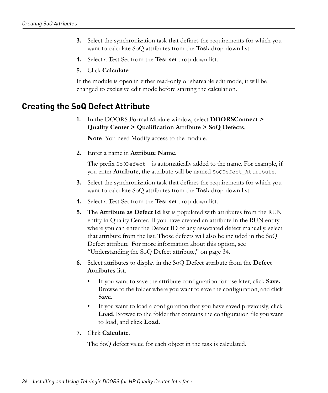- **3.** Select the synchronization task that defines the requirements for which you want to calculate SoQ attributes from the **Task** drop-down list.
- **4.** Select a Test Set from the **Test set** drop-down list.
- **5.** Click **Calculate**.

If the module is open in either read-only or shareable edit mode, it will be changed to exclusive edit mode before starting the calculation.

## <span id="page-43-2"></span><span id="page-43-0"></span>**Creating the SoQ Defect Attribute**

**1.** In the DOORS Formal Module window, select **DOORSConnect > Quality Center > Qualification Attribute > SoQ Defects**.

**Note** You need Modify access to the module.

**2.** Enter a name in **Attribute Name**.

The prefix Soqpefect is automatically added to the name. For example, if you enter **Attribute**, the attribute will be named SoQDefect\_Attribute.

- **3.** Select the synchronization task that defines the requirements for which you want to calculate SoQ attributes from the **Task** drop-down list.
- **4.** Select a Test Set from the **Test set** drop-down list.
- **5.** The **Attribute as Defect Id** list is populated with attributes from the RUN entity in Quality Center. If you have created an attribute in the RUN entity where you can enter the Defect ID of any associated defect manually, select that attribute from the list. Those defects will also be included in the SoQ Defect attribute. For more information about this option, see ["Understanding the SoQ Defect attribute," on page 34.](#page-41-0)
- <span id="page-43-1"></span>**6.** Select attributes to display in the SoQ Defect attribute from the **Defect Attributes** list.
	- If you want to save the attribute configuration for use later, click **Save.**  Browse to the folder where you want to save the configuration, and click **Save**.
	- If you want to load a configuration that you have saved previously, click **Load**. Browse to the folder that contains the configuration file you want to load, and click **Load**.
- **7.** Click **Calculate**.

The SoQ defect value for each object in the task is calculated.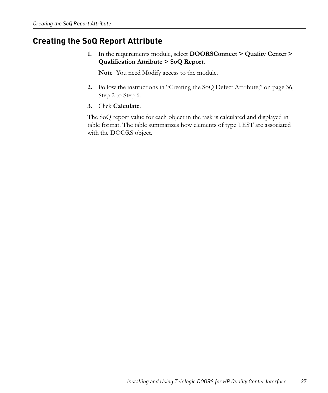## <span id="page-44-1"></span><span id="page-44-0"></span>**Creating the SoQ Report Attribute**

**1.** In the requirements module, select **DOORSConnect > Quality Center > Qualification Attribute > SoQ Report**.

**Note** You need Modify access to the module.

**2.** Follow the instructions in ["Creating the SoQ Defect Attribute," on page 36](#page-43-0), [Step 2](#page-42-2) to [Step 6.](#page-43-1)

#### **3.** Click **Calculate**.

The SoQ report value for each object in the task is calculated and displayed in table format. The table summarizes how elements of type TEST are associated with the DOORS object.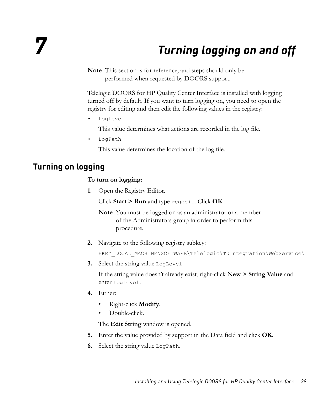## *7 Turning logging on and off*

<span id="page-46-0"></span>**Note** This section is for reference, and steps should only be performed when requested by DOORS support.

Telelogic DOORS for HP Quality Center Interface is installed with logging turned off by default. If you want to turn logging on, you need to open the registry for editing and then edit the following values in the registry:

• LogLevel

This value determines what actions are recorded in the log file.

• LogPath

This value determines the location of the log file.

## <span id="page-46-1"></span>**Turning on logging**

#### **To turn on logging:**

**1.** Open the Registry Editor.

Click **Start > Run** and type regedit. Click **OK**.

**Note** You must be logged on as an administrator or a member of the Administrators group in order to perform this procedure.

**2.** Navigate to the following registry subkey:

HKEY\_LOCAL\_MACHINE\SOFTWARE\Telelogic\TDIntegration\WebService\

**3.** Select the string value LogLevel.

If the string value doesn't already exist, right-click **New > String Value** and enter LogLevel.

- **4.** Either:
	- Right-click **Modify**.
	- Double-click.

The **Edit String** window is opened.

- **5.** Enter the value provided by support in the Data field and click **OK**.
- **6.** Select the string value LogPath.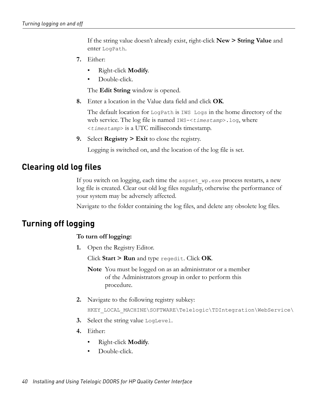If the string value doesn't already exist, right-click **New > String Value** and enter LogPath.

- **7.** Either:
	- Right-click **Modify**.
	- Double-click.

The **Edit String** window is opened.

**8.** Enter a location in the Value data field and click **OK**.

The default location for LogPath is IWS Logs in the home directory of the web service. The log file is named IWS-<*timestamp*>.log, where <*timestamp*> is a UTC milliseconds timestamp.

**9.** Select **Registry > Exit** to close the registry.

Logging is switched on, and the location of the log file is set.

#### <span id="page-47-0"></span>**Clearing old log files**

If you switch on logging, each time the aspnet wp.exe process restarts, a new log file is created. Clear out old log files regularly, otherwise the performance of your system may be adversely affected.

Navigate to the folder containing the log files, and delete any obsolete log files.

### <span id="page-47-1"></span>**Turning off logging**

#### **To turn off logging:**

**1.** Open the Registry Editor.

Click **Start > Run** and type regedit. Click **OK**.

- **Note** You must be logged on as an administrator or a member of the Administrators group in order to perform this procedure.
- **2.** Navigate to the following registry subkey:

HKEY\_LOCAL\_MACHINE\SOFTWARE\Telelogic\TDIntegration\WebService\

- **3.** Select the string value LogLevel.
- **4.** Either:
	- Right-click **Modify**.
	- Double-click.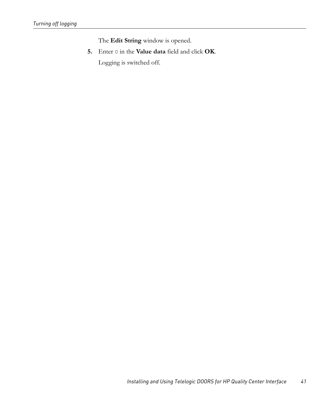The **Edit String** window is opened.

**5.** Enter 0 in the **Value data** field and click **OK**.

Logging is switched off.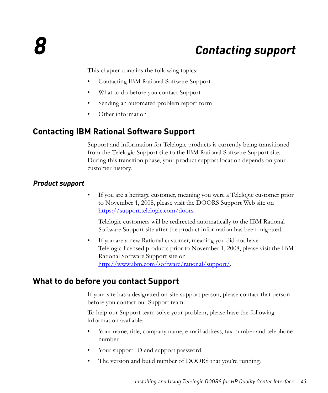## *8 Contacting support*

<span id="page-50-0"></span>This chapter contains the following topics:

- [Contacting IBM Rational Software Support](#page-50-1)
- [What to do before you contact Support](#page-50-3)
- [Sending an automated problem report form](#page-51-0)
- <span id="page-50-4"></span>• [Other information](#page-53-2)

## <span id="page-50-1"></span>**Contacting IBM Rational Software Support**

Support and information for Telelogic products is currently being transitioned from the Telelogic Support site to the IBM Rational Software Support site. During this transition phase, your product support location depends on your customer history.

#### <span id="page-50-2"></span>*Product support*

• If you are a heritage customer, meaning you were a Telelogic customer prior to November 1, 2008, please visit the DOORS Support Web site on https://support.telelogic.com/doors.

Telelogic customers will be redirected automatically to the IBM Rational Software Support site after the product information has been migrated.

If you are a new Rational customer, meaning you did not have Telelogic-licensed products prior to November 1, 2008, please visit the IBM Rational Software Support site on http://www.ibm.com/software/rational/support/.

### <span id="page-50-3"></span>**What to do before you contact Support**

If your site has a designated on-site support person, please contact that person before you contact our Support team.

To help our Support team solve your problem, please have the following information available:

- Your name, title, company name, e-mail address, fax number and telephone number.
- Your support ID and support password.
- The version and build number of DOORS that you're running.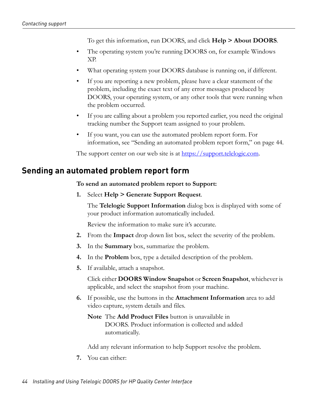To get this information, run DOORS, and click **Help > About DOORS**.

- The operating system you're running DOORS on, for example Windows XP.
- What operating system your DOORS database is running on, if different.
- If you are reporting a new problem, please have a clear statement of the problem, including the exact text of any error messages produced by DOORS, your operating system, or any other tools that were running when the problem occurred.
- If you are calling about a problem you reported earlier, you need the original tracking number the Support team assigned to your problem.
- If you want, you can use the automated problem report form. For information, see ["Sending an automated problem report form," on page 44.](#page-51-0)

<span id="page-51-1"></span>The support center on our web site is at https://support.telelogic.com.

## <span id="page-51-0"></span>**Sending an automated problem report form**

**To send an automated problem report to Support:**

**1.** Select **Help > Generate Support Request**.

The **Telelogic Support Information** dialog box is displayed with some of your product information automatically included.

Review the information to make sure it's accurate.

- **2.** From the **Impact** drop down list box, select the severity of the problem.
- **3.** In the **Summary** box, summarize the problem.
- **4.** In the **Problem** box, type a detailed description of the problem.
- **5.** If available, attach a snapshot.

Click either **DOORS Window Snapshot** or **Screen Snapshot**, whichever is applicable, and select the snapshot from your machine.

- **6.** If possible, use the buttons in the **Attachment Information** area to add video capture, system details and files.
	- **Note** The **Add Product Files** button is unavailable in DOORS. Product information is collected and added automatically.

Add any relevant information to help Support resolve the problem.

**7.** You can either: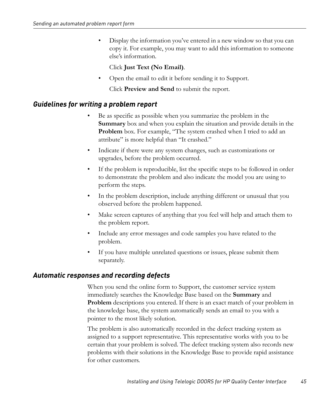• Display the information you've entered in a new window so that you can copy it. For example, you may want to add this information to someone else's information.

#### Click **Just Text (No Email)**.

• Open the email to edit it before sending it to Support.

Click **Preview and Send** to submit the report.

#### <span id="page-52-0"></span>*Guidelines for writing a problem report*

- Be as specific as possible when you summarize the problem in the **Summary** box and when you explain the situation and provide details in the **Problem** box. For example, "The system crashed when I tried to add an attribute" is more helpful than "It crashed."
- Indicate if there were any system changes, such as customizations or upgrades, before the problem occurred.
- If the problem is reproducible, list the specific steps to be followed in order to demonstrate the problem and also indicate the model you are using to perform the steps.
- In the problem description, include anything different or unusual that you observed before the problem happened.
- Make screen captures of anything that you feel will help and attach them to the problem report.
- Include any error messages and code samples you have related to the problem.
- If you have multiple unrelated questions or issues, please submit them separately.

#### <span id="page-52-1"></span>*Automatic responses and recording defects*

When you send the online form to Support, the customer service system immediately searches the Knowledge Base based on the **Summary** and **Problem** descriptions you entered. If there is an exact match of your problem in the knowledge base, the system automatically sends an email to you with a pointer to the most likely solution.

The problem is also automatically recorded in the defect tracking system as assigned to a support representative. This representative works with you to be certain that your problem is solved. The defect tracking system also records new problems with their solutions in the Knowledge Base to provide rapid assistance for other customers.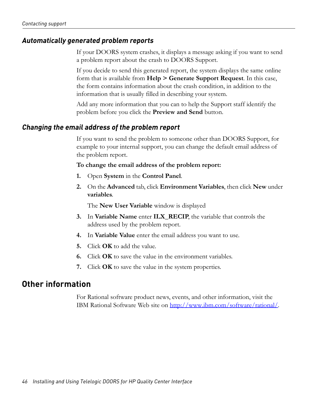#### <span id="page-53-0"></span>*Automatically generated problem reports*

If your DOORS system crashes, it displays a message asking if you want to send a problem report about the crash to DOORS Support.

If you decide to send this generated report, the system displays the same online form that is available from **Help > Generate Support Request**. In this case, the form contains information about the crash condition, in addition to the information that is usually filled in describing your system.

<span id="page-53-3"></span>Add any more information that you can to help the Support staff identify the problem before you click the **Preview and Send** button.

#### <span id="page-53-1"></span>*Changing the email address of the problem report*

If you want to send the problem to someone other than DOORS Support, for example to your internal support, you can change the default email address of the problem report.

#### **To change the email address of the problem report:**

- **1.** Open **System** in the **Control Panel**.
- **2.** On the **Advanced** tab, click **Environment Variables**, then click **New** under **variables**.

The **New User Variable** window is displayed

- **3.** In **Variable Name** enter **ILX\_RECIP**, the variable that controls the address used by the problem report.
- **4.** In **Variable Value** enter the email address you want to use.
- **5.** Click **OK** to add the value.
- **6.** Click **OK** to save the value in the environment variables.
- **7.** Click **OK** to save the value in the system properties.

#### <span id="page-53-2"></span>**Other information**

For Rational software product news, events, and other information, visit the IBM Rational Software Web site on http://www.ibm.com/software/rational/.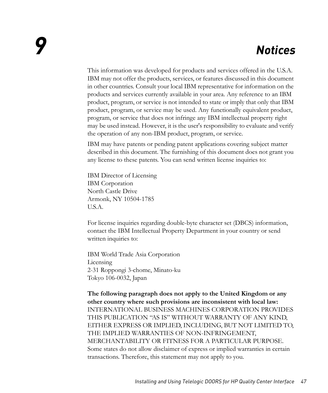# <span id="page-54-1"></span>*9 Notices*

<span id="page-54-0"></span>This information was developed for products and services offered in the U.S.A. IBM may not offer the products, services, or features discussed in this document in other countries. Consult your local IBM representative for information on the products and services currently available in your area. Any reference to an IBM product, program, or service is not intended to state or imply that only that IBM product, program, or service may be used. Any functionally equivalent product, program, or service that does not infringe any IBM intellectual property right may be used instead. However, it is the user's responsibility to evaluate and verify the operation of any non-IBM product, program, or service.

IBM may have patents or pending patent applications covering subject matter described in this document. The furnishing of this document does not grant you any license to these patents. You can send written license inquiries to:

IBM Director of Licensing IBM Corporation North Castle Drive Armonk, NY 10504-1785 U.S.A.

For license inquiries regarding double-byte character set (DBCS) information, contact the IBM Intellectual Property Department in your country or send written inquiries to:

IBM World Trade Asia Corporation Licensing 2-31 Roppongi 3-chome, Minato-ku Tokyo 106-0032, Japan

**The following paragraph does not apply to the United Kingdom or any other country where such provisions are inconsistent with local law:** INTERNATIONAL BUSINESS MACHINES CORPORATION PROVIDES THIS PUBLICATION "AS IS" WITHOUT WARRANTY OF ANY KIND, EITHER EXPRESS OR IMPLIED, INCLUDING, BUT NOT LIMITED TO, THE IMPLIED WARRANTIES OF NON-INFRINGEMENT, MERCHANTABILITY OR FITNESS FOR A PARTICULAR PURPOSE. Some states do not allow disclaimer of express or implied warranties in certain transactions. Therefore, this statement may not apply to you.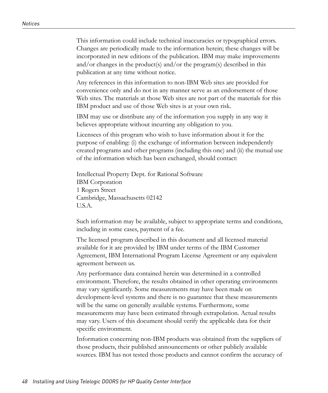This information could include technical inaccuracies or typographical errors. Changes are periodically made to the information herein; these changes will be incorporated in new editions of the publication. IBM may make improvements and/or changes in the product(s) and/or the program(s) described in this publication at any time without notice.

Any references in this information to non-IBM Web sites are provided for convenience only and do not in any manner serve as an endorsement of those Web sites. The materials at those Web sites are not part of the materials for this IBM product and use of those Web sites is at your own risk.

IBM may use or distribute any of the information you supply in any way it believes appropriate without incurring any obligation to you.

Licensees of this program who wish to have information about it for the purpose of enabling: (i) the exchange of information between independently created programs and other programs (including this one) and (ii) the mutual use of the information which has been exchanged, should contact:

Intellectual Property Dept. for Rational Software IBM Corporation 1 Rogers Street Cambridge, Massachusetts 02142 U.S.A.

Such information may be available, subject to appropriate terms and conditions, including in some cases, payment of a fee.

The licensed program described in this document and all licensed material available for it are provided by IBM under terms of the IBM Customer Agreement, IBM International Program License Agreement or any equivalent agreement between us.

Any performance data contained herein was determined in a controlled environment. Therefore, the results obtained in other operating environments may vary significantly. Some measurements may have been made on development-level systems and there is no guarantee that these measurements will be the same on generally available systems. Furthermore, some measurements may have been estimated through extrapolation. Actual results may vary. Users of this document should verify the applicable data for their specific environment.

Information concerning non-IBM products was obtained from the suppliers of those products, their published announcements or other publicly available sources. IBM has not tested those products and cannot confirm the accuracy of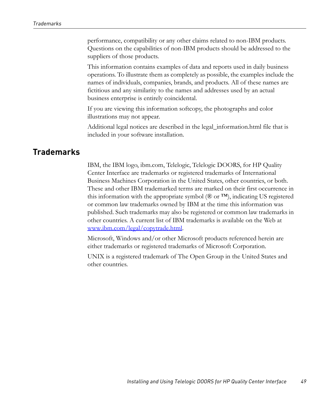performance, compatibility or any other claims related to non-IBM products. Questions on the capabilities of non-IBM products should be addressed to the suppliers of those products.

This information contains examples of data and reports used in daily business operations. To illustrate them as completely as possible, the examples include the names of individuals, companies, brands, and products. All of these names are fictitious and any similarity to the names and addresses used by an actual business enterprise is entirely coincidental.

If you are viewing this information softcopy, the photographs and color illustrations may not appear.

Additional legal notices are described in the legal\_information.html file that is included in your software installation.

### <span id="page-56-0"></span>**Trademarks**

IBM, the IBM logo, ibm.com, Telelogic, Telelogic DOORS, for HP Quality Center Interface are trademarks or registered trademarks of International Business Machines Corporation in the United States, other countries, or both. These and other IBM trademarked terms are marked on their first occurrence in this information with the appropriate symbol ( $\mathbb{R}$  or  $TM$ ), indicating US registered or common law trademarks owned by IBM at the time this information was published. Such trademarks may also be registered or common law trademarks in other countries. A current list of IBM trademarks is available on the Web at www.ibm.com/legal/copytrade.html.

Microsoft, Windows and/or other Microsoft products referenced herein are either trademarks or registered trademarks of Microsoft Corporation.

UNIX is a registered trademark of The Open Group in the United States and other countries.